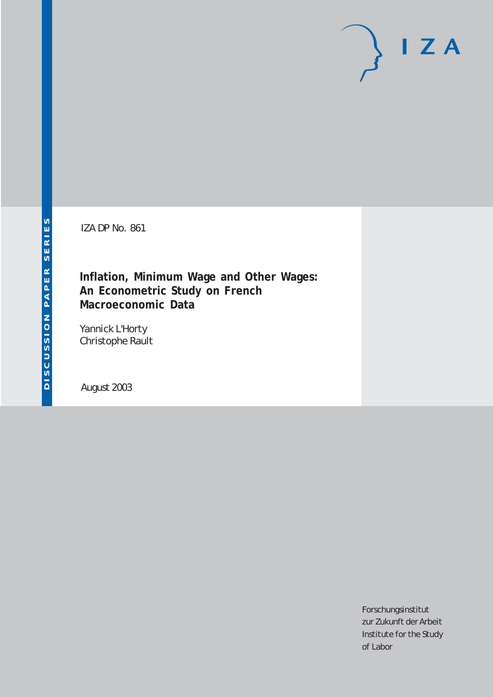IZA DP No. 861

**Inflation, Minimum Wage and Other Wages: An Econometric Study on French Macroeconomic Data**

Yannick L'Horty Christophe Rault

August 2003

Forschungsinstitut zur Zukunft der Arbeit Institute for the Study of Labor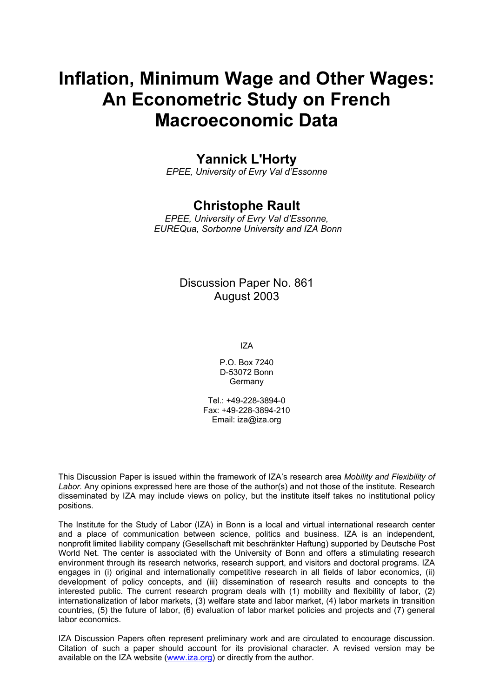# **Inflation, Minimum Wage and Other Wages: An Econometric Study on French Macroeconomic Data**

## **Yannick L'Horty**

*EPEE, University of Evry Val d'Essonne* 

### **Christophe Rault**

*EPEE, University of Evry Val d'Essonne, EUREQua, Sorbonne University and IZA Bonn* 

### Discussion Paper No. 861 August 2003

IZA

P.O. Box 7240 D-53072 Bonn Germany

Tel.: +49-228-3894-0 Fax: +49-228-3894-210 Email: [iza@iza.org](mailto:iza@iza.org)

This Discussion Paper is issued within the framework of IZA's research area *Mobility and Flexibility of Labor.* Any opinions expressed here are those of the author(s) and not those of the institute. Research disseminated by IZA may include views on policy, but the institute itself takes no institutional policy positions.

The Institute for the Study of Labor (IZA) in Bonn is a local and virtual international research center and a place of communication between science, politics and business. IZA is an independent, nonprofit limited liability company (Gesellschaft mit beschränkter Haftung) supported by Deutsche Post World Net. The center is associated with the University of Bonn and offers a stimulating research environment through its research networks, research support, and visitors and doctoral programs. IZA engages in (i) original and internationally competitive research in all fields of labor economics, (ii) development of policy concepts, and (iii) dissemination of research results and concepts to the interested public. The current research program deals with (1) mobility and flexibility of labor, (2) internationalization of labor markets, (3) welfare state and labor market, (4) labor markets in transition countries, (5) the future of labor, (6) evaluation of labor market policies and projects and (7) general labor economics.

IZA Discussion Papers often represent preliminary work and are circulated to encourage discussion. Citation of such a paper should account for its provisional character. A revised version may be available on the IZA website ([www.iza.org](http://www.iza.org/)) or directly from the author.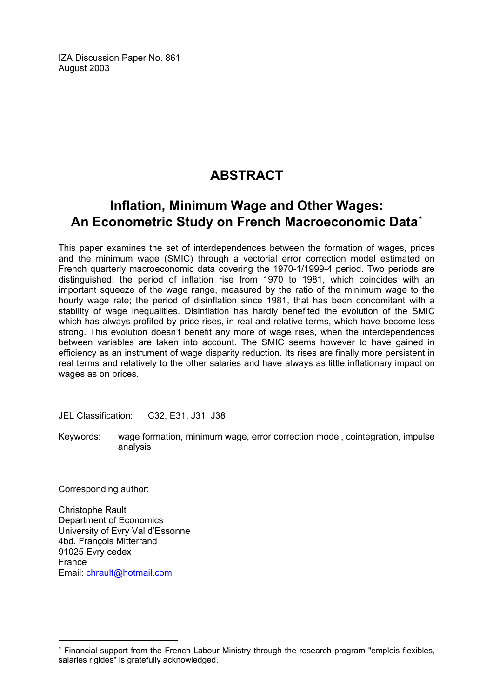IZA Discussion Paper No. 861 August 2003

## **ABSTRACT**

## **Inflation, Minimum Wage and Other Wages: An Econometric Study on French Macroeconomic Data**[∗](#page-2-0)

This paper examines the set of interdependences between the formation of wages, prices and the minimum wage (SMIC) through a vectorial error correction model estimated on French quarterly macroeconomic data covering the 1970-1/1999-4 period. Two periods are distinguished: the period of inflation rise from 1970 to 1981, which coincides with an important squeeze of the wage range, measured by the ratio of the minimum wage to the hourly wage rate; the period of disinflation since 1981, that has been concomitant with a stability of wage inequalities. Disinflation has hardly benefited the evolution of the SMIC which has always profited by price rises, in real and relative terms, which have become less strong. This evolution doesn't benefit any more of wage rises, when the interdependences between variables are taken into account. The SMIC seems however to have gained in efficiency as an instrument of wage disparity reduction. Its rises are finally more persistent in real terms and relatively to the other salaries and have always as little inflationary impact on wages as on prices.

JEL Classification: C32, E31, J31, J38

Keywords: wage formation, minimum wage, error correction model, cointegration, impulse analysis

Corresponding author:

 $\overline{a}$ 

Christophe Rault Department of Economics University of Evry Val d'Essonne 4bd. François Mitterrand 91025 Evry cedex France Email: [chrault@hotmail.com](mailto:chrault@hotmail.com) 

<span id="page-2-0"></span><sup>∗</sup> Financial support from the French Labour Ministry through the research program "emplois flexibles, salaries rigides" is gratefully acknowledged.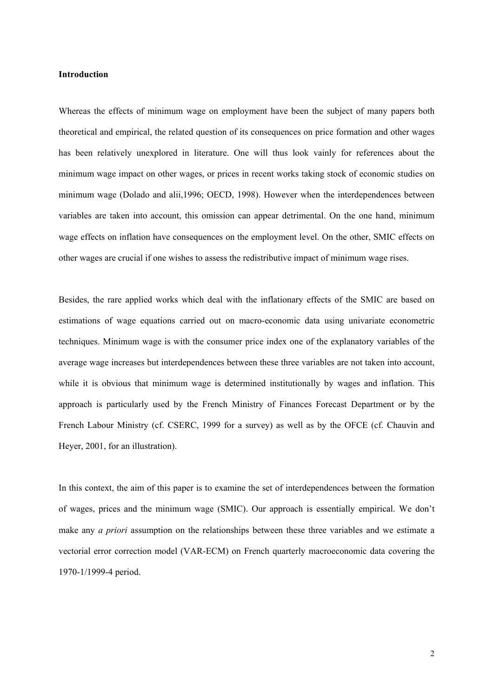#### **Introduction**

Whereas the effects of minimum wage on employment have been the subject of many papers both theoretical and empirical, the related question of its consequences on price formation and other wages has been relatively unexplored in literature. One will thus look vainly for references about the minimum wage impact on other wages, or prices in recent works taking stock of economic studies on minimum wage (Dolado and alii,1996; OECD, 1998). However when the interdependences between variables are taken into account, this omission can appear detrimental. On the one hand, minimum wage effects on inflation have consequences on the employment level. On the other, SMIC effects on other wages are crucial if one wishes to assess the redistributive impact of minimum wage rises.

Besides, the rare applied works which deal with the inflationary effects of the SMIC are based on estimations of wage equations carried out on macro-economic data using univariate econometric techniques. Minimum wage is with the consumer price index one of the explanatory variables of the average wage increases but interdependences between these three variables are not taken into account, while it is obvious that minimum wage is determined institutionally by wages and inflation. This approach is particularly used by the French Ministry of Finances Forecast Department or by the French Labour Ministry (cf. CSERC, 1999 for a survey) as well as by the OFCE (cf. Chauvin and Heyer, 2001, for an illustration).

In this context, the aim of this paper is to examine the set of interdependences between the formation of wages, prices and the minimum wage (SMIC). Our approach is essentially empirical. We don't make any *a priori* assumption on the relationships between these three variables and we estimate a vectorial error correction model (VAR-ECM) on French quarterly macroeconomic data covering the 1970-1/1999-4 period.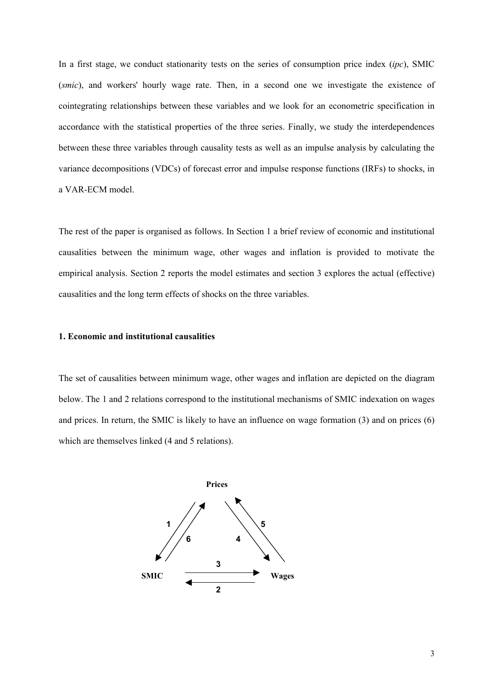In a first stage, we conduct stationarity tests on the series of consumption price index (*ipc*), SMIC (*smic*), and workers' hourly wage rate. Then, in a second one we investigate the existence of cointegrating relationships between these variables and we look for an econometric specification in accordance with the statistical properties of the three series. Finally, we study the interdependences between these three variables through causality tests as well as an impulse analysis by calculating the variance decompositions (VDCs) of forecast error and impulse response functions (IRFs) to shocks, in a VAR-ECM model.

The rest of the paper is organised as follows. In Section 1 a brief review of economic and institutional causalities between the minimum wage, other wages and inflation is provided to motivate the empirical analysis. Section 2 reports the model estimates and section 3 explores the actual (effective) causalities and the long term effects of shocks on the three variables.

#### **1. Economic and institutional causalities**

The set of causalities between minimum wage, other wages and inflation are depicted on the diagram below. The 1 and 2 relations correspond to the institutional mechanisms of SMIC indexation on wages and prices. In return, the SMIC is likely to have an influence on wage formation (3) and on prices (6) which are themselves linked (4 and 5 relations).

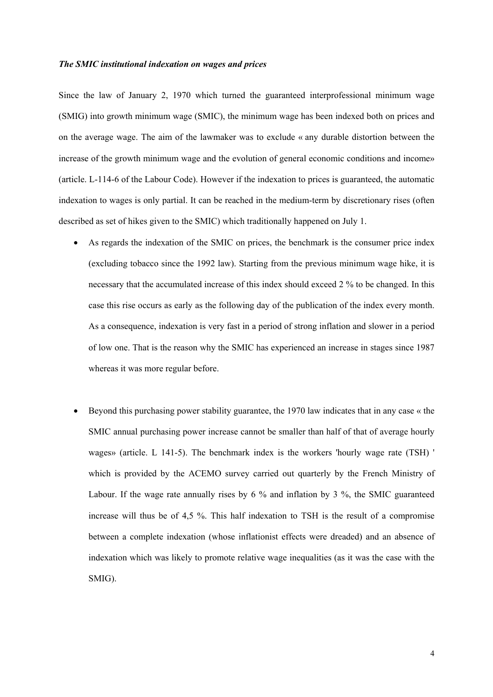#### *The SMIC institutional indexation on wages and prices*

Since the law of January 2, 1970 which turned the guaranteed interprofessional minimum wage (SMIG) into growth minimum wage (SMIC), the minimum wage has been indexed both on prices and on the average wage. The aim of the lawmaker was to exclude « any durable distortion between the increase of the growth minimum wage and the evolution of general economic conditions and income» (article. L-114-6 of the Labour Code). However if the indexation to prices is guaranteed, the automatic indexation to wages is only partial. It can be reached in the medium-term by discretionary rises (often described as set of hikes given to the SMIC) which traditionally happened on July 1.

- As regards the indexation of the SMIC on prices, the benchmark is the consumer price index (excluding tobacco since the 1992 law). Starting from the previous minimum wage hike, it is necessary that the accumulated increase of this index should exceed 2 % to be changed. In this case this rise occurs as early as the following day of the publication of the index every month. As a consequence, indexation is very fast in a period of strong inflation and slower in a period of low one. That is the reason why the SMIC has experienced an increase in stages since 1987 whereas it was more regular before.
- Beyond this purchasing power stability guarantee, the 1970 law indicates that in any case « the SMIC annual purchasing power increase cannot be smaller than half of that of average hourly wages» (article. L 141-5). The benchmark index is the workers 'hourly wage rate (TSH) ' which is provided by the ACEMO survey carried out quarterly by the French Ministry of Labour. If the wage rate annually rises by 6 % and inflation by 3 %, the SMIC guaranteed increase will thus be of 4,5 %. This half indexation to TSH is the result of a compromise between a complete indexation (whose inflationist effects were dreaded) and an absence of indexation which was likely to promote relative wage inequalities (as it was the case with the SMIG).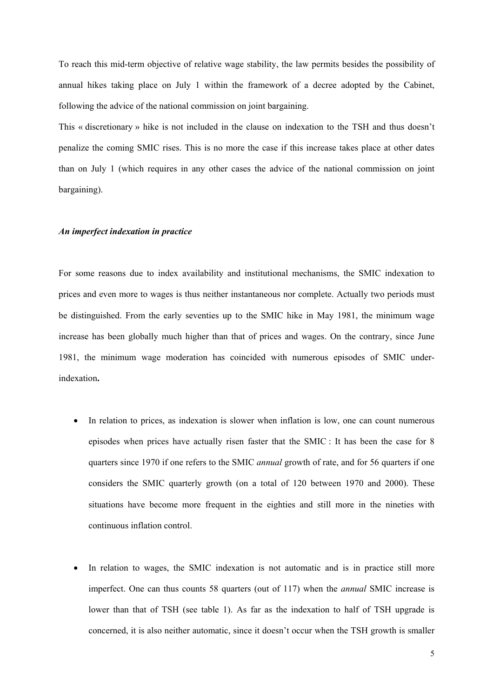To reach this mid-term objective of relative wage stability, the law permits besides the possibility of annual hikes taking place on July 1 within the framework of a decree adopted by the Cabinet, following the advice of the national commission on joint bargaining.

This « discretionary » hike is not included in the clause on indexation to the TSH and thus doesn't penalize the coming SMIC rises. This is no more the case if this increase takes place at other dates than on July 1 (which requires in any other cases the advice of the national commission on joint bargaining).

#### *An imperfect indexation in practice*

For some reasons due to index availability and institutional mechanisms, the SMIC indexation to prices and even more to wages is thus neither instantaneous nor complete. Actually two periods must be distinguished. From the early seventies up to the SMIC hike in May 1981, the minimum wage increase has been globally much higher than that of prices and wages. On the contrary, since June 1981, the minimum wage moderation has coincided with numerous episodes of SMIC underindexation**.**

- In relation to prices, as indexation is slower when inflation is low, one can count numerous episodes when prices have actually risen faster that the SMIC : It has been the case for 8 quarters since 1970 if one refers to the SMIC *annual* growth of rate, and for 56 quarters if one considers the SMIC quarterly growth (on a total of 120 between 1970 and 2000). These situations have become more frequent in the eighties and still more in the nineties with continuous inflation control.
- In relation to wages, the SMIC indexation is not automatic and is in practice still more imperfect. One can thus counts 58 quarters (out of 117) when the *annual* SMIC increase is lower than that of TSH (see table 1). As far as the indexation to half of TSH upgrade is concerned, it is also neither automatic, since it doesn't occur when the TSH growth is smaller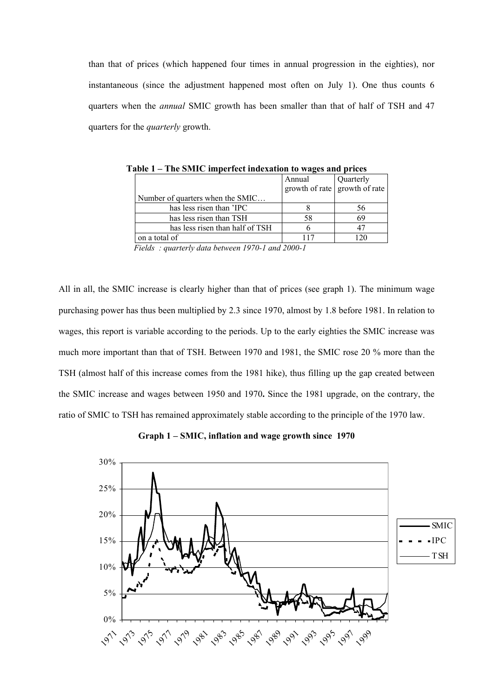than that of prices (which happened four times in annual progression in the eighties), nor instantaneous (since the adjustment happened most often on July 1). One thus counts 6 quarters when the *annual* SMIC growth has been smaller than that of half of TSH and 47 quarters for the *quarterly* growth.

| L ANIV 1                         | THE SINITE IMPORTED MUCAULON TO WALKS AND PLICES |                                         |           |  |  |  |
|----------------------------------|--------------------------------------------------|-----------------------------------------|-----------|--|--|--|
|                                  |                                                  | Annual<br>growth of rate growth of rate | Quarterly |  |  |  |
| Number of quarters when the SMIC |                                                  |                                         |           |  |  |  |
| has less risen than 'IPC         |                                                  |                                         | 56        |  |  |  |
| has less risen than TSH          |                                                  | 58                                      | 69        |  |  |  |
| has less risen than half of TSH  |                                                  |                                         |           |  |  |  |
| on a total of                    |                                                  | 117                                     |           |  |  |  |

**Table 1 – The SMIC imperfect indexation to wages and prices**

 *Fields : quarterly data between 1970-1 and 2000-1*

All in all, the SMIC increase is clearly higher than that of prices (see graph 1). The minimum wage purchasing power has thus been multiplied by 2.3 since 1970, almost by 1.8 before 1981. In relation to wages, this report is variable according to the periods. Up to the early eighties the SMIC increase was much more important than that of TSH. Between 1970 and 1981, the SMIC rose 20 % more than the TSH (almost half of this increase comes from the 1981 hike), thus filling up the gap created between the SMIC increase and wages between 1950 and 1970**.** Since the 1981 upgrade, on the contrary, the ratio of SMIC to TSH has remained approximately stable according to the principle of the 1970 law.

**Graph 1 – SMIC, inflation and wage growth since 1970**

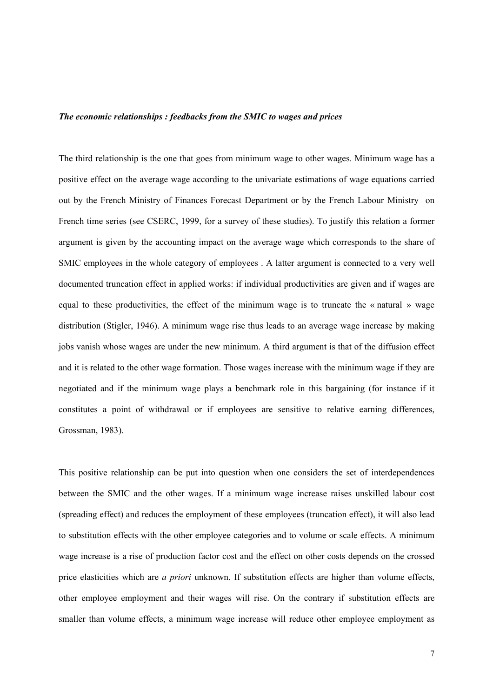#### *The economic relationships : feedbacks from the SMIC to wages and prices*

The third relationship is the one that goes from minimum wage to other wages. Minimum wage has a positive effect on the average wage according to the univariate estimations of wage equations carried out by the French Ministry of Finances Forecast Department or by the French Labour Ministry on French time series (see CSERC, 1999, for a survey of these studies). To justify this relation a former argument is given by the accounting impact on the average wage which corresponds to the share of SMIC employees in the whole category of employees . A latter argument is connected to a very well documented truncation effect in applied works: if individual productivities are given and if wages are equal to these productivities, the effect of the minimum wage is to truncate the « natural » wage distribution (Stigler, 1946). A minimum wage rise thus leads to an average wage increase by making jobs vanish whose wages are under the new minimum. A third argument is that of the diffusion effect and it is related to the other wage formation. Those wages increase with the minimum wage if they are negotiated and if the minimum wage plays a benchmark role in this bargaining (for instance if it constitutes a point of withdrawal or if employees are sensitive to relative earning differences, Grossman, 1983).

This positive relationship can be put into question when one considers the set of interdependences between the SMIC and the other wages. If a minimum wage increase raises unskilled labour cost (spreading effect) and reduces the employment of these employees (truncation effect), it will also lead to substitution effects with the other employee categories and to volume or scale effects. A minimum wage increase is a rise of production factor cost and the effect on other costs depends on the crossed price elasticities which are *a priori* unknown. If substitution effects are higher than volume effects, other employee employment and their wages will rise. On the contrary if substitution effects are smaller than volume effects, a minimum wage increase will reduce other employee employment as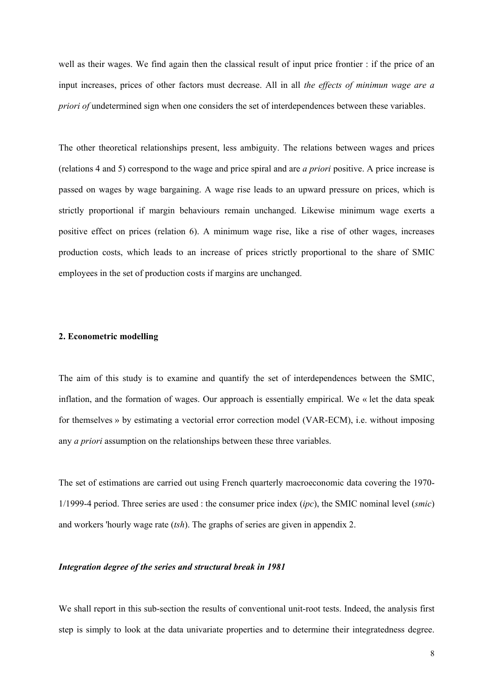well as their wages. We find again then the classical result of input price frontier : if the price of an input increases, prices of other factors must decrease. All in all *the effects of minimun wage are a priori of* undetermined sign when one considers the set of interdependences between these variables.

The other theoretical relationships present, less ambiguity. The relations between wages and prices (relations 4 and 5) correspond to the wage and price spiral and are *a priori* positive. A price increase is passed on wages by wage bargaining. A wage rise leads to an upward pressure on prices, which is strictly proportional if margin behaviours remain unchanged. Likewise minimum wage exerts a positive effect on prices (relation 6). A minimum wage rise, like a rise of other wages, increases production costs, which leads to an increase of prices strictly proportional to the share of SMIC employees in the set of production costs if margins are unchanged.

#### **2. Econometric modelling**

The aim of this study is to examine and quantify the set of interdependences between the SMIC, inflation, and the formation of wages. Our approach is essentially empirical. We « let the data speak for themselves » by estimating a vectorial error correction model (VAR-ECM), i.e. without imposing any *a priori* assumption on the relationships between these three variables.

The set of estimations are carried out using French quarterly macroeconomic data covering the 1970- 1/1999-4 period. Three series are used : the consumer price index (*ipc*), the SMIC nominal level (*smic*) and workers 'hourly wage rate (*tsh*). The graphs of series are given in appendix 2.

#### *Integration degree of the series and structural break in 1981*

We shall report in this sub-section the results of conventional unit-root tests. Indeed, the analysis first step is simply to look at the data univariate properties and to determine their integratedness degree.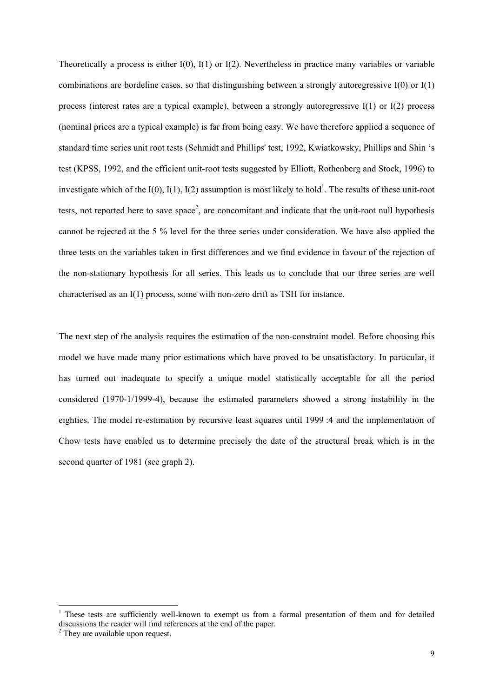Theoretically a process is either  $I(0)$ ,  $I(1)$  or  $I(2)$ . Nevertheless in practice many variables or variable combinations are bordeline cases, so that distinguishing between a strongly autoregressive I(0) or I(1) process (interest rates are a typical example), between a strongly autoregressive I(1) or I(2) process (nominal prices are a typical example) is far from being easy. We have therefore applied a sequence of standard time series unit root tests (Schmidt and Phillips' test, 1992, Kwiatkowsky, Phillips and Shin 's test (KPSS, 1992, and the efficient unit-root tests suggested by Elliott, Rothenberg and Stock, 1996) to investigate which of the  $I(0)$ ,  $I(1)$ ,  $I(2)$  assumption is most likely to hold<sup>1</sup>. The results of these unit-root tests, not reported here to save space<sup>2</sup>, are concomitant and indicate that the unit-root null hypothesis cannot be rejected at the 5 % level for the three series under consideration. We have also applied the three tests on the variables taken in first differences and we find evidence in favour of the rejection of the non-stationary hypothesis for all series. This leads us to conclude that our three series are well characterised as an I(1) process, some with non-zero drift as TSH for instance.

The next step of the analysis requires the estimation of the non-constraint model. Before choosing this model we have made many prior estimations which have proved to be unsatisfactory. In particular, it has turned out inadequate to specify a unique model statistically acceptable for all the period considered (1970-1/1999-4), because the estimated parameters showed a strong instability in the eighties. The model re-estimation by recursive least squares until 1999 :4 and the implementation of Chow tests have enabled us to determine precisely the date of the structural break which is in the second quarter of 1981 (see graph 2).

-

<sup>&</sup>lt;sup>1</sup> These tests are sufficiently well-known to exempt us from a formal presentation of them and for detailed discussions the reader will find references at the end of the paper. <sup>2</sup>

 $2$  They are available upon request.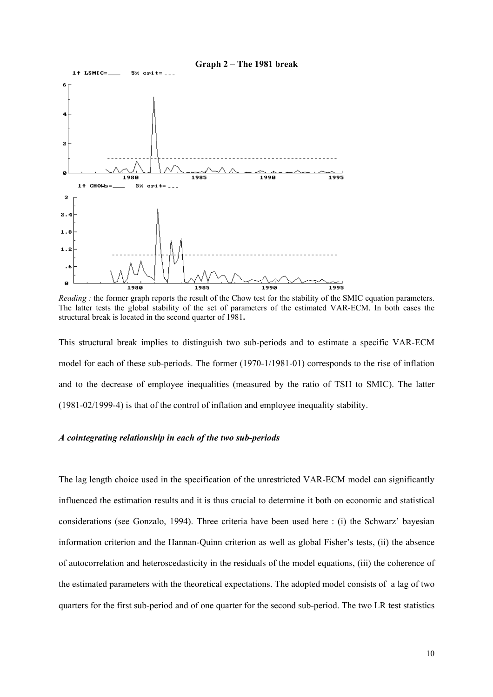

*Reading :* the former graph reports the result of the Chow test for the stability of the SMIC equation parameters. The latter tests the global stability of the set of parameters of the estimated VAR-ECM. In both cases the structural break is located in the second quarter of 1981**.**

This structural break implies to distinguish two sub-periods and to estimate a specific VAR-ECM model for each of these sub-periods. The former (1970-1/1981-01) corresponds to the rise of inflation and to the decrease of employee inequalities (measured by the ratio of TSH to SMIC). The latter (1981-02/1999-4) is that of the control of inflation and employee inequality stability.

#### *A cointegrating relationship in each of the two sub-periods*

The lag length choice used in the specification of the unrestricted VAR-ECM model can significantly influenced the estimation results and it is thus crucial to determine it both on economic and statistical considerations (see Gonzalo, 1994). Three criteria have been used here : (i) the Schwarz' bayesian information criterion and the Hannan-Quinn criterion as well as global Fisher's tests, (ii) the absence of autocorrelation and heteroscedasticity in the residuals of the model equations, (iii) the coherence of the estimated parameters with the theoretical expectations. The adopted model consists of a lag of two quarters for the first sub-period and of one quarter for the second sub-period. The two LR test statistics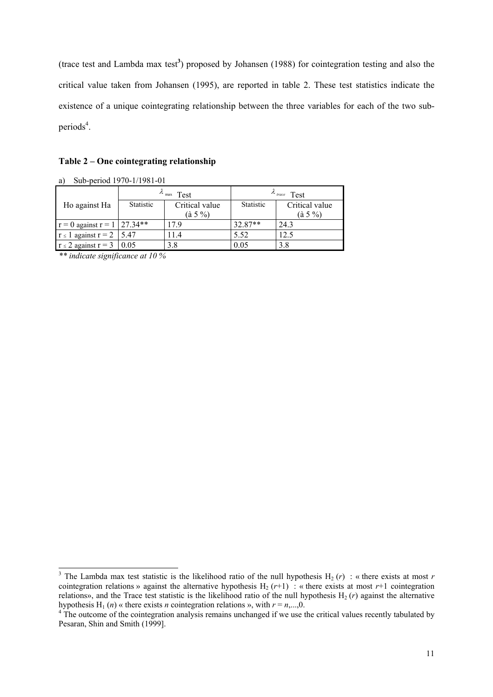(trace test and Lambda max test**<sup>3</sup>** ) proposed by Johansen (1988) for cointegration testing and also the critical value taken from Johansen (1995), are reported in table 2. These test statistics indicate the existence of a unique cointegrating relationship between the three variables for each of the two subperiods<sup>4</sup>.

#### **Table 2 – One cointegrating relationship**

| $\mathbf{u}$                         |                    |                 |                        |                  |
|--------------------------------------|--------------------|-----------------|------------------------|------------------|
|                                      | $\lambda$ max Test |                 | $\lambda$ trace $Test$ |                  |
| Ho against Ha                        | <b>Statistic</b>   | Critical value  | <b>Statistic</b>       | Critical value   |
|                                      |                    | $(\hat{a} 5\%)$ |                        | $(\hat{a} 5 \%)$ |
| $r = 0$ against $r = 1 \mid 27.34**$ |                    | 179             | $32.87**$              | 24.3             |
| $r \leq 1$ against $r = 2$   5.47    |                    | 11.4            | 5.52                   | 12.5             |
| $r \le 2$ against $r = 3 \mid 0.05$  |                    | 3.8             | 0.05                   | 3.8              |

a) Sub-period 1970-1/1981-01

*\*\* indicate significance at 10 %*

<sup>&</sup>lt;sup>3</sup> The Lambda max test statistic is the likelihood ratio of the null hypothesis  $H_2(r)$  : « there exists at most *r* cointegration relations » against the alternative hypothesis  $H_2 (r+1)$ : « there exists at most  $r+1$  cointegration relations», and the Trace test statistic is the likelihood ratio of the null hypothesis  $H_2(r)$  against the alternative hypothesis H<sub>1</sub> (*n*) « there exists *n* cointegration relations », with  $r = n$ ,...,0.

<sup>&</sup>lt;sup>4</sup>The outcome of the cointegration analysis remains unchanged if we use the critical values recently tabulated by Pesaran, Shin and Smith (1999].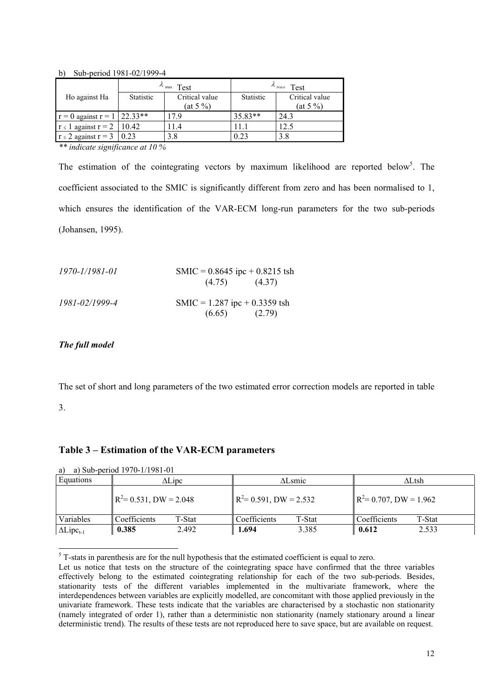b) Sub-period 1981-02/1999-4

| $\lambda$ max Test                   |           | $\lambda$ trace $Test$ |                  |                |
|--------------------------------------|-----------|------------------------|------------------|----------------|
| Ho against Ha                        | Statistic | Critical value         | <b>Statistic</b> | Critical value |
|                                      |           | $(at 5\% )$            |                  | (at 5 %)       |
| $r = 0$ against $r = 1 \mid 22.33**$ |           | 179                    | 35.83**          | 24.3           |
| $r \le 1$ against $r = 2 \mid 10.42$ |           | 11.4                   |                  | 12.5           |
| $r \le 2$ against $r = 3 \mid 0.23$  |           | 3.8                    | 0.23             | 3.8            |

*\*\* indicate significance at 10 %*

The estimation of the cointegrating vectors by maximum likelihood are reported below<sup>5</sup>. The coefficient associated to the SMIC is significantly different from zero and has been normalised to 1, which ensures the identification of the VAR-ECM long-run parameters for the two sub-periods (Johansen, 1995).

| 1970-1/1981-01 | SMIC = $0.8645$ ipc + $0.8215$ tsh |  |
|----------------|------------------------------------|--|
|                | $(4.75)$ $(4.37)$                  |  |
| 1981-02/1999-4 | SMIC = $1.287$ ipc + 0.3359 tsh    |  |
|                | $(6.65)$ $(2.79)$                  |  |

#### *The full model*

The set of short and long parameters of the two estimated error correction models are reported in table

#### 3.

-

#### **Table 3 – Estimation of the VAR-ECM parameters**

| Equations           | $\Delta$ Lipc             |        | $\Delta$ Lsmic                     |        | ∆Ltsh                              |        |
|---------------------|---------------------------|--------|------------------------------------|--------|------------------------------------|--------|
|                     | $R^2$ = 0.531, DW = 2.048 |        | $\mathbb{R}^2$ = 0.591, DW = 2.532 |        | $\mathbb{R}^2$ = 0.707, DW = 1.962 |        |
| Variables           | Coefficients              | T-Stat | Coefficients                       | T-Stat | Coefficients                       | T-Stat |
| $\Delta Lipc_{t-1}$ | 0.385                     | 2.492  | 1.694                              | 3.385  | 0.612                              | 2.533  |

a) a) Sub-period 1970-1/1981-01

 $<sup>5</sup>$  T-stats in parenthesis are for the null hypothesis that the estimated coefficient is equal to zero.</sup>

Let us notice that tests on the structure of the cointegrating space have confirmed that the three variables effectively belong to the estimated cointegrating relationship for each of the two sub-periods. Besides, stationarity tests of the different variables implemented in the multivariate framework, where the interdependences between variables are explicitly modelled, are concomitant with those applied previously in the univariate framework. These tests indicate that the variables are characterised by a stochastic non stationarity (namely integrated of order 1), rather than a deterministic non stationarity (namely stationary around a linear deterministic trend). The results of these tests are not reproduced here to save space, but are available on request.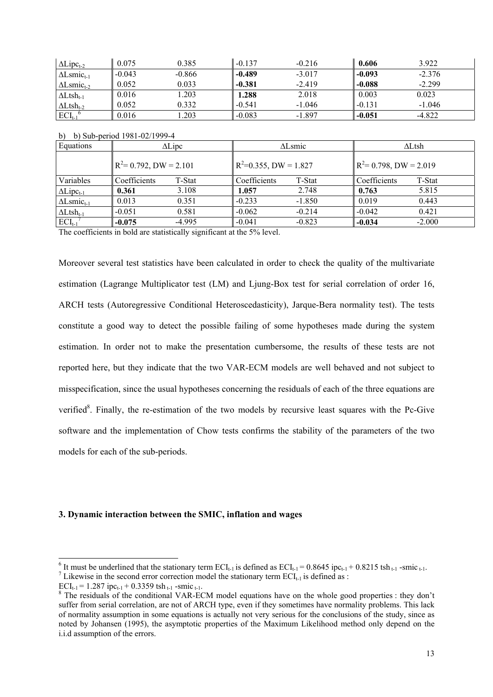| $\Delta Lipc_{t-2}$           | 0.075    | 0.385    | $-0.137$ | $-0.216$ | 0.606    | 3.922    |
|-------------------------------|----------|----------|----------|----------|----------|----------|
| $\Delta$ Lsmic <sub>t-1</sub> | $-0.043$ | $-0.866$ | $-0.489$ | $-3.017$ | $-0.093$ | $-2.376$ |
| $\Delta$ Lsmic <sub>t-2</sub> | 0.052    | 0.033    | $-0.381$ | $-2.419$ | $-0.088$ | $-2.299$ |
| $\Delta$ Ltsh <sub>t-1</sub>  | 0.016    | .203     | 1.288    | 2.018    | 0.003    | 0.023    |
| $\Delta$ Ltsh <sub>t-2</sub>  | 0.052    | 0.332    | $-0.541$ | $-1.046$ | $-0.131$ | $-1.046$ |
| $ECI_{t-1}^6$                 | 0.016    | .203     | $-0.083$ | -1.897   | $-0.051$ | $-4.822$ |

|  |  |  | b) b) Sub-period 1981-02/1999-4 |
|--|--|--|---------------------------------|
|--|--|--|---------------------------------|

| Equations                     | $\Delta$ Lipc             |          | $\Delta$ Lsmic                    |          | $\Delta$ Ltsh                      |          |
|-------------------------------|---------------------------|----------|-----------------------------------|----------|------------------------------------|----------|
|                               | $R^2$ = 0.792, DW = 2.101 |          | $\mathbb{R}^2$ =0.355, DW = 1.827 |          | $\mathbb{R}^2$ = 0.798, DW = 2.019 |          |
| Variables                     | Coefficients              | T-Stat   | Coefficients                      | T-Stat   | Coefficients                       | T-Stat   |
| $\Delta Lipc_{t-1}$           | 0.361                     | 3.108    | 1.057                             | 2.748    | 0.763                              | 5.815    |
| $\Delta$ Lsmic <sub>t-1</sub> | 0.013                     | 0.351    | $-0.233$                          | $-1.850$ | 0.019                              | 0.443    |
| $\Delta$ Ltsh <sub>t-1</sub>  | $-0.051$                  | 0.581    | $-0.062$                          | $-0.214$ | $-0.042$                           | 0.421    |
| $ECI_{t-1}$                   | $-0.075$                  | $-4.995$ | $-0.041$                          | $-0.823$ | $-0.034$                           | $-2.000$ |

The coefficients in bold are statistically significant at the 5% level.

Moreover several test statistics have been calculated in order to check the quality of the multivariate estimation (Lagrange Multiplicator test (LM) and Ljung-Box test for serial correlation of order 16, ARCH tests (Autoregressive Conditional Heteroscedasticity), Jarque-Bera normality test). The tests constitute a good way to detect the possible failing of some hypotheses made during the system estimation. In order not to make the presentation cumbersome, the results of these tests are not reported here, but they indicate that the two VAR-ECM models are well behaved and not subject to misspecification, since the usual hypotheses concerning the residuals of each of the three equations are verified<sup>8</sup>. Finally, the re-estimation of the two models by recursive least squares with the Pc-Give software and the implementation of Chow tests confirms the stability of the parameters of the two models for each of the sub-periods.

#### **3. Dynamic interaction between the SMIC, inflation and wages**

-

<sup>&</sup>lt;sup>6</sup> It must be underlined that the stationary term  $\text{ECI}_{t-1}$  is defined as  $\text{ECI}_{t-1} = 0.8645 \text{ ipc}_{t-1} + 0.8215 \text{ tsh}_{t-1}$ -smic<sub>t-1</sub>.<br><sup>7</sup> Likewise in the second error correction model the stationary term  $\text{ECI}_{t-1}$ 

<sup>&</sup>lt;sup>7</sup> Likewise in the second error correction model the stationary term  $ECI_{t-1}$  is defined as :

 $ECI_{t-1} = 1.287$  ipc<sub>t-1</sub> + 0.3359 tsh<sub>t-1</sub> -smic<sub>t-1</sub>.

<sup>&</sup>lt;sup>8</sup> The residuals of the conditional VAR-ECM model equations have on the whole good properties : they don't suffer from serial correlation, are not of ARCH type, even if they sometimes have normality problems. This lack of normality assumption in some equations is actually not very serious for the conclusions of the study, since as noted by Johansen (1995), the asymptotic properties of the Maximum Likelihood method only depend on the i.i.d assumption of the errors.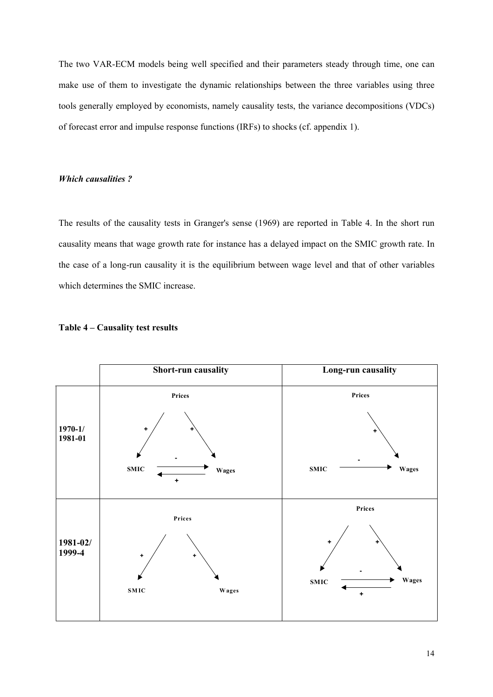The two VAR-ECM models being well specified and their parameters steady through time, one can make use of them to investigate the dynamic relationships between the three variables using three tools generally employed by economists, namely causality tests, the variance decompositions (VDCs) of forecast error and impulse response functions (IRFs) to shocks (cf. appendix 1).

#### *Which causalities ?*

The results of the causality tests in Granger's sense (1969) are reported in Table 4. In the short run causality means that wage growth rate for instance has a delayed impact on the SMIC growth rate. In the case of a long-run causality it is the equilibrium between wage level and that of other variables which determines the SMIC increase.



#### **Table 4 – Causality test results**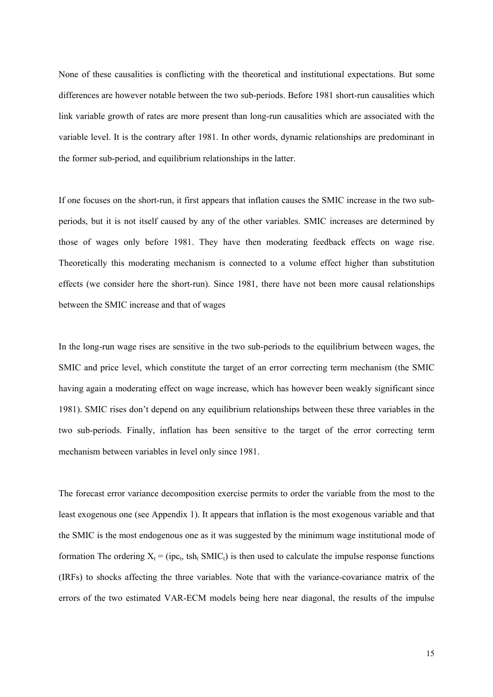None of these causalities is conflicting with the theoretical and institutional expectations. But some differences are however notable between the two sub-periods. Before 1981 short-run causalities which link variable growth of rates are more present than long-run causalities which are associated with the variable level. It is the contrary after 1981. In other words, dynamic relationships are predominant in the former sub-period, and equilibrium relationships in the latter.

If one focuses on the short-run, it first appears that inflation causes the SMIC increase in the two subperiods, but it is not itself caused by any of the other variables. SMIC increases are determined by those of wages only before 1981. They have then moderating feedback effects on wage rise. Theoretically this moderating mechanism is connected to a volume effect higher than substitution effects (we consider here the short-run). Since 1981, there have not been more causal relationships between the SMIC increase and that of wages

In the long-run wage rises are sensitive in the two sub-periods to the equilibrium between wages, the SMIC and price level, which constitute the target of an error correcting term mechanism (the SMIC having again a moderating effect on wage increase, which has however been weakly significant since 1981). SMIC rises don't depend on any equilibrium relationships between these three variables in the two sub-periods. Finally, inflation has been sensitive to the target of the error correcting term mechanism between variables in level only since 1981.

The forecast error variance decomposition exercise permits to order the variable from the most to the least exogenous one (see Appendix 1). It appears that inflation is the most exogenous variable and that the SMIC is the most endogenous one as it was suggested by the minimum wage institutional mode of formation The ordering  $X_t = (ipc_t, tsh_t SMIC_t)$  is then used to calculate the impulse response functions (IRFs) to shocks affecting the three variables. Note that with the variance-covariance matrix of the errors of the two estimated VAR-ECM models being here near diagonal, the results of the impulse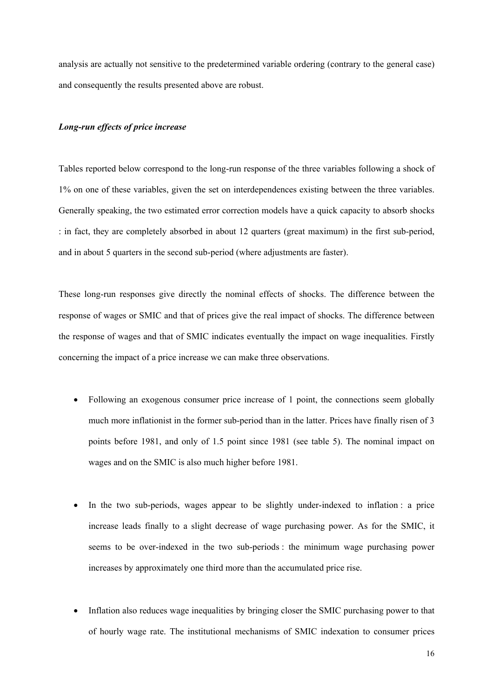analysis are actually not sensitive to the predetermined variable ordering (contrary to the general case) and consequently the results presented above are robust.

#### *Long-run effects of price increase*

Tables reported below correspond to the long-run response of the three variables following a shock of 1% on one of these variables, given the set on interdependences existing between the three variables. Generally speaking, the two estimated error correction models have a quick capacity to absorb shocks : in fact, they are completely absorbed in about 12 quarters (great maximum) in the first sub-period, and in about 5 quarters in the second sub-period (where adjustments are faster).

These long-run responses give directly the nominal effects of shocks. The difference between the response of wages or SMIC and that of prices give the real impact of shocks. The difference between the response of wages and that of SMIC indicates eventually the impact on wage inequalities. Firstly concerning the impact of a price increase we can make three observations.

- Following an exogenous consumer price increase of 1 point, the connections seem globally much more inflationist in the former sub-period than in the latter. Prices have finally risen of 3 points before 1981, and only of 1.5 point since 1981 (see table 5). The nominal impact on wages and on the SMIC is also much higher before 1981.
- In the two sub-periods, wages appear to be slightly under-indexed to inflation : a price increase leads finally to a slight decrease of wage purchasing power. As for the SMIC, it seems to be over-indexed in the two sub-periods : the minimum wage purchasing power increases by approximately one third more than the accumulated price rise.
- Inflation also reduces wage inequalities by bringing closer the SMIC purchasing power to that of hourly wage rate. The institutional mechanisms of SMIC indexation to consumer prices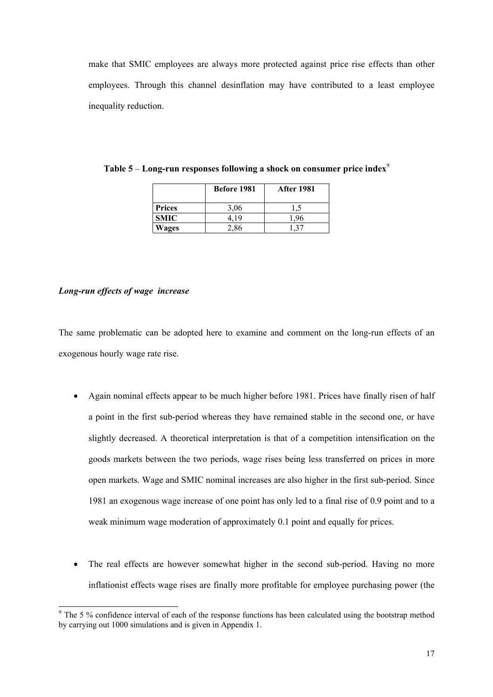make that SMIC employees are always more protected against price rise effects than other employees. Through this channel desinflation may have contributed to a least employee inequality reduction.

|               | Before 1981 | <b>After 1981</b> |
|---------------|-------------|-------------------|
| <b>Prices</b> | 3.06        |                   |
| <b>SMIC</b>   | 119         |                   |
| Wages         | $-0.86$     |                   |

**Table 5** – **Long-run responses following a shock on consumer price index**<sup>9</sup>

#### *Long-run effects of wage increase*

-

The same problematic can be adopted here to examine and comment on the long-run effects of an exogenous hourly wage rate rise.

- Again nominal effects appear to be much higher before 1981. Prices have finally risen of half a point in the first sub-period whereas they have remained stable in the second one, or have slightly decreased. A theoretical interpretation is that of a competition intensification on the goods markets between the two periods, wage rises being less transferred on prices in more open markets. Wage and SMIC nominal increases are also higher in the first sub-period. Since 1981 an exogenous wage increase of one point has only led to a final rise of 0.9 point and to a weak minimum wage moderation of approximately 0.1 point and equally for prices.
- The real effects are however somewhat higher in the second sub-period. Having no more inflationist effects wage rises are finally more profitable for employee purchasing power (the

<sup>&</sup>lt;sup>9</sup> The 5 % confidence interval of each of the response functions has been calculated using the bootstrap method by carrying out 1000 simulations and is given in Appendix 1.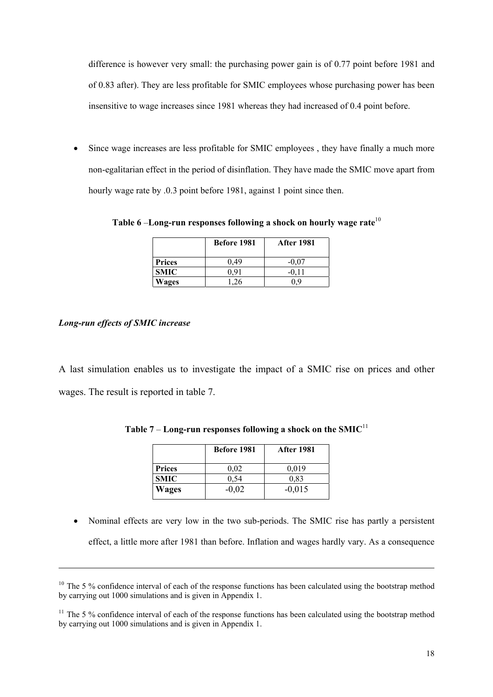difference is however very small: the purchasing power gain is of 0.77 point before 1981 and of 0.83 after). They are less profitable for SMIC employees whose purchasing power has been insensitive to wage increases since 1981 whereas they had increased of 0.4 point before.

Since wage increases are less profitable for SMIC employees, they have finally a much more non-egalitarian effect in the period of disinflation. They have made the SMIC move apart from hourly wage rate by .0.3 point before 1981, against 1 point since then.

**Table 6** –**Long-run responses following a shock on hourly wage rate**<sup>10</sup>

|               | Before 1981 | <b>After 1981</b> |
|---------------|-------------|-------------------|
| <b>Prices</b> | 0.49        | $-0.07$           |
| <b>SMIC</b>   |             |                   |
| Wages         |             |                   |

#### *Long-run effects of SMIC increase*

-

A last simulation enables us to investigate the impact of a SMIC rise on prices and other wages. The result is reported in table 7.

|               | <b>Before 1981</b> | <b>After 1981</b> |
|---------------|--------------------|-------------------|
| <b>Prices</b> | 0.02               | 0,019             |
| <b>SMIC</b>   | 0.54               | 0.83              |
| Wages         | $-0,02$            | $-0,015$          |

**Table 7** – **Long-run responses following a shock on the SMIC**<sup>11</sup>

• Nominal effects are very low in the two sub-periods. The SMIC rise has partly a persistent effect, a little more after 1981 than before. Inflation and wages hardly vary. As a consequence

<sup>&</sup>lt;sup>10</sup> The 5 % confidence interval of each of the response functions has been calculated using the bootstrap method by carrying out 1000 simulations and is given in Appendix 1.

<sup>&</sup>lt;sup>11</sup> The 5 % confidence interval of each of the response functions has been calculated using the bootstrap method by carrying out 1000 simulations and is given in Appendix 1.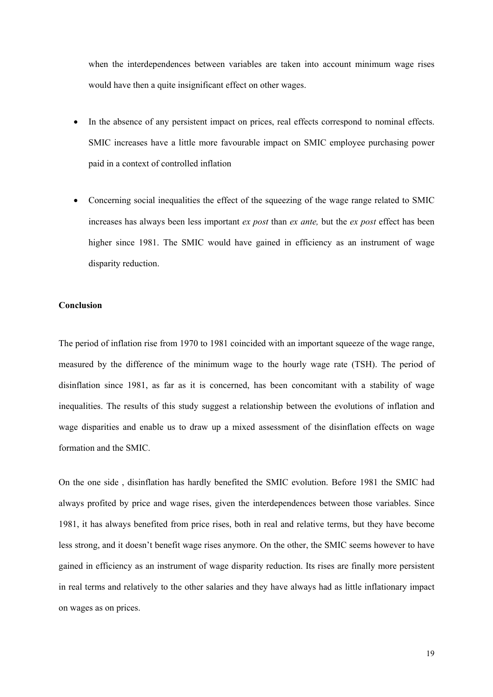when the interdependences between variables are taken into account minimum wage rises would have then a quite insignificant effect on other wages.

- In the absence of any persistent impact on prices, real effects correspond to nominal effects. SMIC increases have a little more favourable impact on SMIC employee purchasing power paid in a context of controlled inflation
- Concerning social inequalities the effect of the squeezing of the wage range related to SMIC increases has always been less important *ex post* than *ex ante,* but the *ex post* effect has been higher since 1981. The SMIC would have gained in efficiency as an instrument of wage disparity reduction.

#### **Conclusion**

The period of inflation rise from 1970 to 1981 coincided with an important squeeze of the wage range, measured by the difference of the minimum wage to the hourly wage rate (TSH). The period of disinflation since 1981, as far as it is concerned, has been concomitant with a stability of wage inequalities. The results of this study suggest a relationship between the evolutions of inflation and wage disparities and enable us to draw up a mixed assessment of the disinflation effects on wage formation and the SMIC.

On the one side , disinflation has hardly benefited the SMIC evolution. Before 1981 the SMIC had always profited by price and wage rises, given the interdependences between those variables. Since 1981, it has always benefited from price rises, both in real and relative terms, but they have become less strong, and it doesn't benefit wage rises anymore. On the other, the SMIC seems however to have gained in efficiency as an instrument of wage disparity reduction. Its rises are finally more persistent in real terms and relatively to the other salaries and they have always had as little inflationary impact on wages as on prices.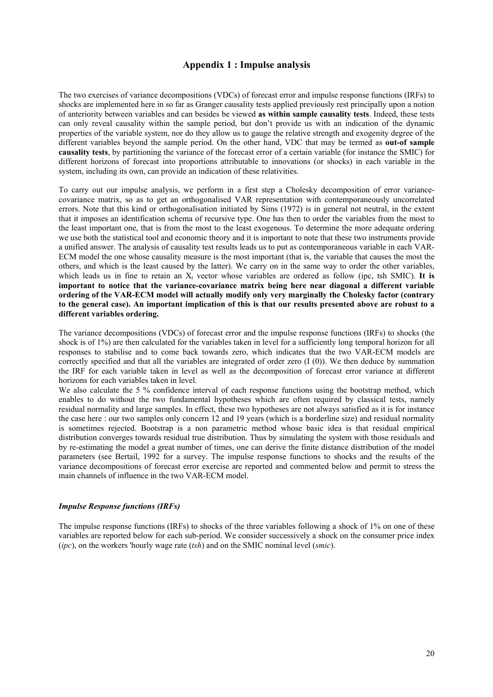#### **Appendix 1 : Impulse analysis**

The two exercises of variance decompositions (VDCs) of forecast error and impulse response functions (IRFs) to shocks are implemented here in so far as Granger causality tests applied previously rest principally upon a notion of anteriority between variables and can besides be viewed **as within sample causality tests**. Indeed, these tests can only reveal causality within the sample period, but don't provide us with an indication of the dynamic properties of the variable system, nor do they allow us to gauge the relative strength and exogenity degree of the different variables beyond the sample period. On the other hand, VDC that may be termed as **out-of sample causality tests**, by partitioning the variance of the forecast error of a certain variable (for instance the SMIC) for different horizons of forecast into proportions attributable to innovations (or shocks) in each variable in the system, including its own, can provide an indication of these relativities.

To carry out our impulse analysis, we perform in a first step a Cholesky decomposition of error variancecovariance matrix, so as to get an orthogonalised VAR representation with contemporaneously uncorrelated errors. Note that this kind or orthogonalisation initiated by Sims (1972) is in general not neutral, in the extent that it imposes an identification schema of recursive type. One has then to order the variables from the most to the least important one, that is from the most to the least exogenous. To determine the more adequate ordering we use both the statistical tool and economic theory and it is important to note that these two instruments provide a unified answer. The analysis of causality test results leads us to put as contemporaneous variable in each VAR-ECM model the one whose causality measure is the most important (that is, the variable that causes the most the others, and which is the least caused by the latter). We carry on in the same way to order the other variables, which leads us in fine to retain an  $X_t$  vector whose variables are ordered as follow (ipc, tsh SMIC). It is **important to notice that the variance-covariance matrix being here near diagonal a different variable ordering of the VAR-ECM model will actually modify only very marginally the Cholesky factor (contrary to the general case). An important implication of this is that our results presented above are robust to a different variables ordering.**

The variance decompositions (VDCs) of forecast error and the impulse response functions (IRFs) to shocks (the shock is of 1%) are then calculated for the variables taken in level for a sufficiently long temporal horizon for all responses to stabilise and to come back towards zero, which indicates that the two VAR-ECM models are correctly specified and that all the variables are integrated of order zero (I (0)). We then deduce by summation the IRF for each variable taken in level as well as the decomposition of forecast error variance at different horizons for each variables taken in level.

We also calculate the 5 % confidence interval of each response functions using the bootstrap method, which enables to do without the two fundamental hypotheses which are often required by classical tests, namely residual normality and large samples. In effect, these two hypotheses are not always satisfied as it is for instance the case here : our two samples only concern 12 and 19 years (which is a borderline size) and residual normality is sometimes rejected. Bootstrap is a non parametric method whose basic idea is that residual empirical distribution converges towards residual true distribution. Thus by simulating the system with those residuals and by re-estimating the model a great number of times, one can derive the finite distance distribution of the model parameters (see Bertail, 1992 for a survey. The impulse response functions to shocks and the results of the variance decompositions of forecast error exercise are reported and commented below and permit to stress the main channels of influence in the two VAR-ECM model.

#### *Impulse Response functions (IRFs)*

The impulse response functions (IRFs) to shocks of the three variables following a shock of 1% on one of these variables are reported below for each sub-period. We consider successively a shock on the consumer price index (*ipc*), on the workers 'hourly wage rate (*tsh*) and on the SMIC nominal level (*smic*).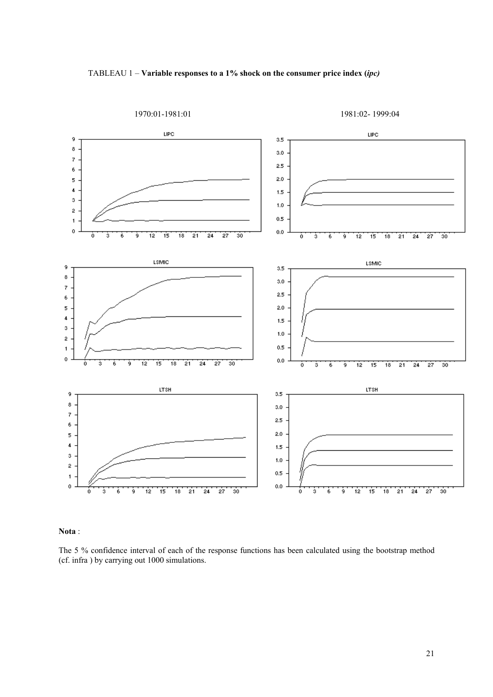



**Nota** :

The 5 % confidence interval of each of the response functions has been calculated using the bootstrap method (cf. infra ) by carrying out 1000 simulations.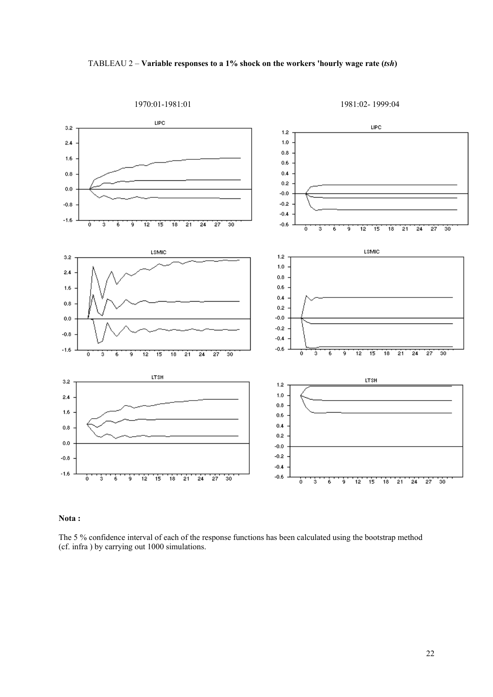



#### **Nota :**

The 5 % confidence interval of each of the response functions has been calculated using the bootstrap method (cf. infra ) by carrying out 1000 simulations.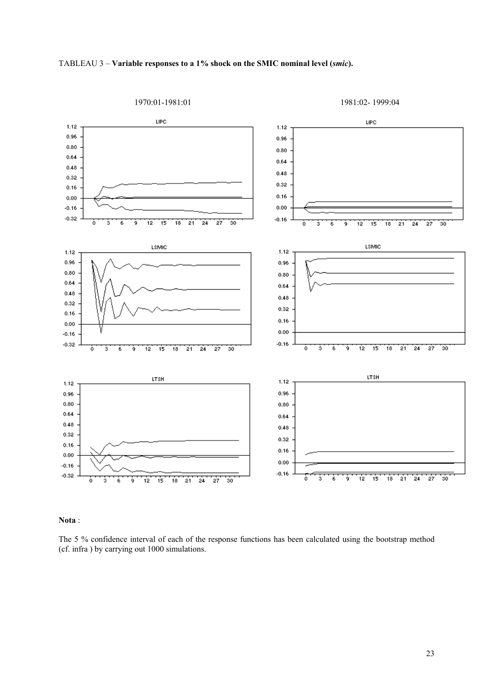

1970:01-1981:01 1981:02- 1999:04



#### **Nota** :

The 5 % confidence interval of each of the response functions has been calculated using the bootstrap method (cf. infra ) by carrying out 1000 simulations.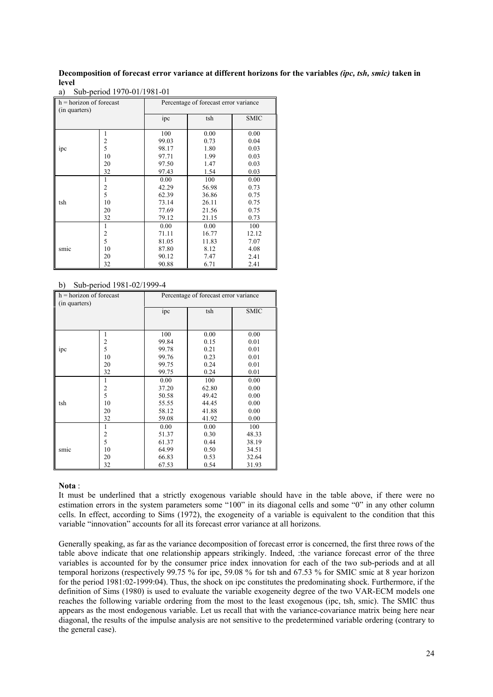#### **Decomposition of forecast error variance at different horizons for the variables** *(ipc, tsh, smic)* **taken in level**

| $h = horizon$ of forecast<br>(in quarters) |    | Percentage of forecast error variance |       |             |
|--------------------------------------------|----|---------------------------------------|-------|-------------|
|                                            |    | ipc                                   | tsh   | <b>SMIC</b> |
|                                            | 1  | 100                                   | 0.00  | 0.00        |
|                                            | 2  | 99.03                                 | 0.73  | 0.04        |
| ipc                                        | 5  | 98.17                                 | 1.80  | 0.03        |
|                                            | 10 | 97.71                                 | 1.99  | 0.03        |
|                                            | 20 | 97.50                                 | 1.47  | 0.03        |
|                                            | 32 | 97.43                                 | 1.54  | 0.03        |
|                                            | 1  | 0.00                                  | 100   | 0.00        |
|                                            | 2  | 42.29                                 | 56.98 | 0.73        |
|                                            | 5  | 62.39                                 | 36.86 | 0.75        |
| tsh                                        | 10 | 73.14                                 | 26.11 | 0.75        |
|                                            | 20 | 77.69                                 | 21.56 | 0.75        |
|                                            | 32 | 79.12                                 | 21.15 | 0.73        |
|                                            | 1  | 0.00                                  | 0.00  | 100         |
|                                            | 2  | 71.11                                 | 16.77 | 12.12       |
|                                            | 5  | 81.05                                 | 11.83 | 7.07        |
| smic                                       | 10 | 87.80                                 | 8.12  | 4.08        |
|                                            | 20 | 90.12                                 | 7.47  | 2.41        |
|                                            | 32 | 90.88                                 | 6.71  | 2.41        |

a) Sub-period 1970-01/1981-01

#### b) Sub-period 1981-02/1999-4

| $h = horizon$ of forecast<br>(in quarters) |                | Percentage of forecast error variance |       |             |
|--------------------------------------------|----------------|---------------------------------------|-------|-------------|
|                                            |                | ipc                                   | tsh   | <b>SMIC</b> |
|                                            |                |                                       |       |             |
|                                            | 1              | 100                                   | 0.00  | 0.00        |
|                                            | 2              | 99.84                                 | 0.15  | 0.01        |
| ipc                                        | 5              | 99.78                                 | 0.21  | 0.01        |
|                                            | 10             | 99.76                                 | 0.23  | 0.01        |
|                                            | 20             | 99.75                                 | 0.24  | 0.01        |
|                                            | 32             | 99.75                                 | 0.24  | 0.01        |
|                                            | 1              | 0.00                                  | 100   | 0.00        |
|                                            | $\overline{2}$ | 37.20                                 | 62.80 | 0.00        |
|                                            | 5              | 50.58                                 | 49.42 | 0.00        |
| tsh                                        | 10             | 55.55                                 | 44.45 | 0.00        |
|                                            | 20             | 58.12                                 | 41.88 | 0.00        |
|                                            | 32             | 59.08                                 | 41.92 | 0.00        |
|                                            | 1              | 0.00                                  | 0.00  | 100         |
|                                            | 2              | 51.37                                 | 0.30  | 48.33       |
|                                            | 5              | 61.37                                 | 0.44  | 38.19       |
| smic                                       | 10             | 64.99                                 | 0.50  | 34.51       |
|                                            | 20             | 66.83                                 | 0.53  | 32.64       |
|                                            | 32             | 67.53                                 | 0.54  | 31.93       |

#### **Nota** :

It must be underlined that a strictly exogenous variable should have in the table above, if there were no estimation errors in the system parameters some "100" in its diagonal cells and some "0" in any other column cells. In effect, according to Sims (1972), the exogeneity of a variable is equivalent to the condition that this variable "innovation" accounts for all its forecast error variance at all horizons.

Generally speaking, as far as the variance decomposition of forecast error is concerned, the first three rows of the table above indicate that one relationship appears strikingly. Indeed, :the variance forecast error of the three variables is accounted for by the consumer price index innovation for each of the two sub-periods and at all temporal horizons (respectively 99.75 % for ipc, 59.08 % for tsh and 67.53 % for SMIC smic at 8 year horizon for the period 1981:02-1999:04). Thus, the shock on ipc constitutes the predominating shock. Furthermore, if the definition of Sims (1980) is used to evaluate the variable exogeneity degree of the two VAR-ECM models one reaches the following variable ordering from the most to the least exogenous (ipc, tsh, smic). The SMIC thus appears as the most endogenous variable. Let us recall that with the variance-covariance matrix being here near diagonal, the results of the impulse analysis are not sensitive to the predetermined variable ordering (contrary to the general case).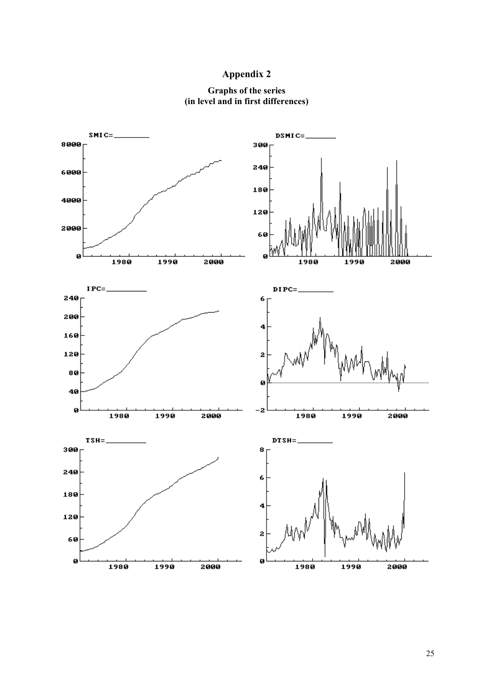### **Appendix 2**



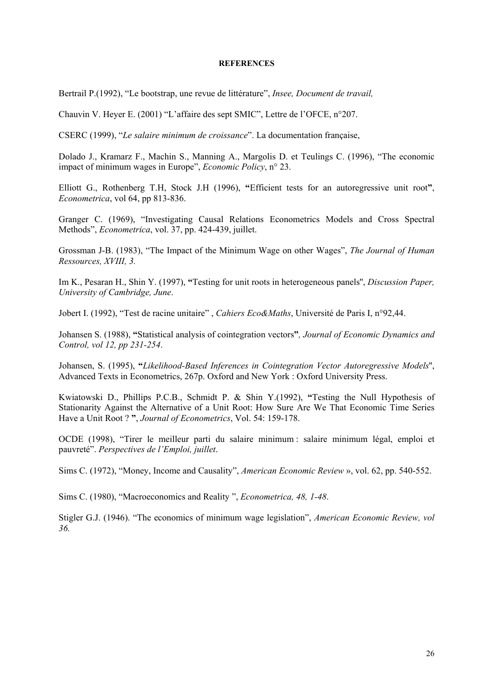#### **REFERENCES**

Bertrail P.(1992), "Le bootstrap, une revue de littérature", *Insee, Document de travail,*

Chauvin V. Heyer E. (2001) "L'affaire des sept SMIC", Lettre de l'OFCE, n°207.

CSERC (1999), "*Le salaire minimum de croissance*". La documentation française,

Dolado J., Kramarz F., Machin S., Manning A., Margolis D. et Teulings C. (1996), "The economic impact of minimum wages in Europe", *Economic Policy*, n° 23.

Elliott G., Rothenberg T.H, Stock J.H (1996), **"**Efficient tests for an autoregressive unit root**"**, *Econometrica*, vol 64, pp 813-836.

Granger C. (1969), "Investigating Causal Relations Econometrics Models and Cross Spectral Methods", *Econometrica*, vol. 37, pp. 424-439, juillet.

Grossman J-B. (1983), "The Impact of the Minimum Wage on other Wages", *The Journal of Human Ressources, XVIII, 3.*

Im K., Pesaran H., Shin Y. (1997), **"**Testing for unit roots in heterogeneous panels'', *Discussion Paper, University of Cambridge, June*.

Jobert I. (1992), "Test de racine unitaire" , *Cahiers Eco&Maths*, Université de Paris I, n°92,44.

Johansen S. (1988), **"**Statistical analysis of cointegration vectors**"***, Journal of Economic Dynamics and Control, vol 12, pp 231-254*.

Johansen, S. (1995), **"***Likelihood-Based Inferences in Cointegration Vector Autoregressive Models*'', Advanced Texts in Econometrics, 267p. Oxford and New York : Oxford University Press.

Kwiatowski D., Phillips P.C.B., Schmidt P. & Shin Y.(1992), **"**Testing the Null Hypothesis of Stationarity Against the Alternative of a Unit Root: How Sure Are We That Economic Time Series Have a Unit Root ? **"**, *Journal of Econometrics*, Vol. 54: 159-178.

OCDE (1998), "Tirer le meilleur parti du salaire minimum : salaire minimum légal, emploi et pauvreté". *Perspectives de l'Emploi, juillet*.

Sims C. (1972), "Money, Income and Causality", *American Economic Review* », vol. 62, pp. 540-552.

Sims C. (1980), "Macroeconomics and Reality ", *Econometrica, 48, 1-48*.

Stigler G.J. (1946). "The economics of minimum wage legislation", *American Economic Review, vol 36.*